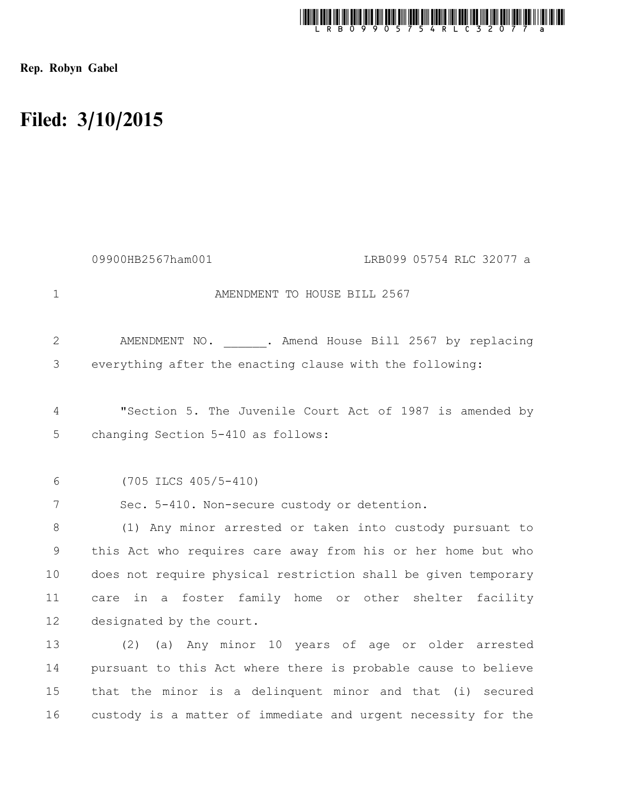

Rep. Robyn Gabel

## Filed: 3/10/2015

|                | 09900HB2567ham001                                              | LRB099 05754 RLC 32077 a |
|----------------|----------------------------------------------------------------|--------------------------|
| $\mathbf 1$    | AMENDMENT TO HOUSE BILL 2567                                   |                          |
| 2              | AMENDMENT NO. . Amend House Bill 2567 by replacing             |                          |
| 3              | everything after the enacting clause with the following:       |                          |
| 4              | "Section 5. The Juvenile Court Act of 1987 is amended by       |                          |
| 5              | changing Section 5-410 as follows:                             |                          |
| 6              | $(705$ ILCS $405/5-410)$                                       |                          |
| $7\phantom{.}$ | Sec. 5-410. Non-secure custody or detention.                   |                          |
| 8              | (1) Any minor arrested or taken into custody pursuant to       |                          |
| 9              | this Act who requires care away from his or her home but who   |                          |
| 10             | does not require physical restriction shall be given temporary |                          |
| 11             | in a foster family home or other shelter facility<br>care      |                          |
| 12             | designated by the court.                                       |                          |
| 13             | (a) Any minor 10 years of age or older arrested<br>(2)         |                          |
| 14             | pursuant to this Act where there is probable cause to believe  |                          |
| 15             | that the minor is a delinquent minor and that (i) secured      |                          |
| 16             | custody is a matter of immediate and urgent necessity for the  |                          |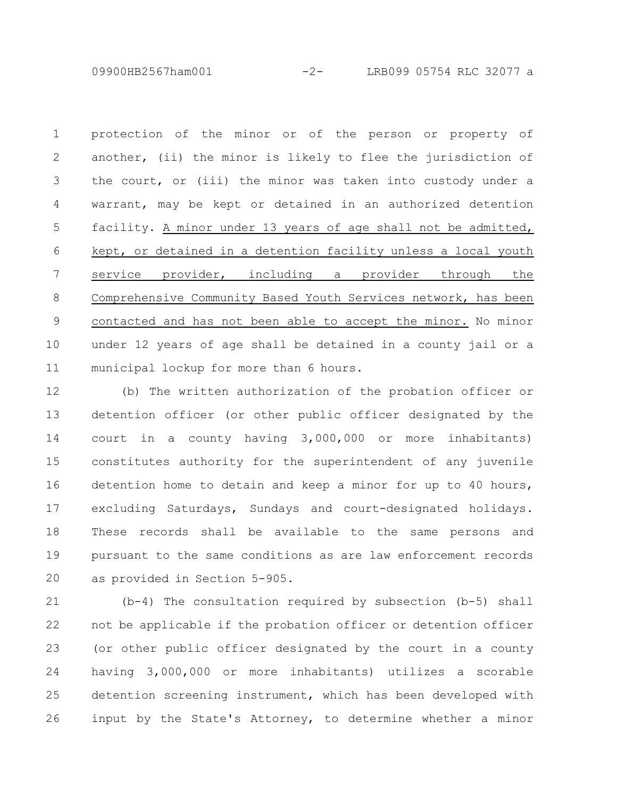09900HB2567ham001 -2- LRB099 05754 RLC 32077 a

protection of the minor or of the person or property of another, (ii) the minor is likely to flee the jurisdiction of the court, or (iii) the minor was taken into custody under a warrant, may be kept or detained in an authorized detention facility. A minor under 13 years of age shall not be admitted, kept, or detained in a detention facility unless a local youth service provider, including a provider through the Comprehensive Community Based Youth Services network, has been contacted and has not been able to accept the minor. No minor under 12 years of age shall be detained in a county jail or a municipal lockup for more than 6 hours. 1 2 3 4 5 6 7 8 9 10 11

(b) The written authorization of the probation officer or detention officer (or other public officer designated by the court in a county having 3,000,000 or more inhabitants) constitutes authority for the superintendent of any juvenile detention home to detain and keep a minor for up to 40 hours, excluding Saturdays, Sundays and court-designated holidays. These records shall be available to the same persons and pursuant to the same conditions as are law enforcement records as provided in Section 5-905. 12 13 14 15 16 17 18 19 20

(b-4) The consultation required by subsection (b-5) shall not be applicable if the probation officer or detention officer (or other public officer designated by the court in a county having 3,000,000 or more inhabitants) utilizes a scorable detention screening instrument, which has been developed with input by the State's Attorney, to determine whether a minor 21 22 23 24 25 26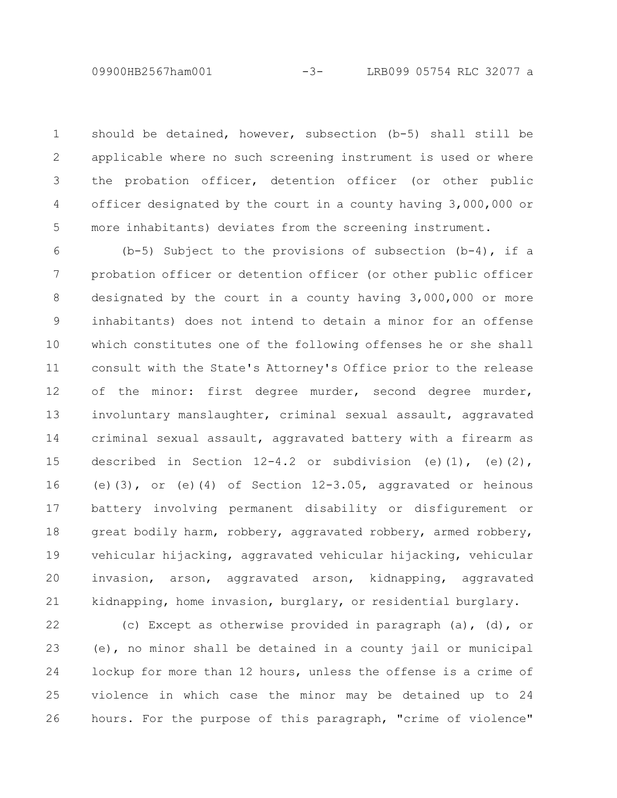should be detained, however, subsection (b-5) shall still be applicable where no such screening instrument is used or where the probation officer, detention officer (or other public officer designated by the court in a county having 3,000,000 or more inhabitants) deviates from the screening instrument. 1 2 3 4 5

(b-5) Subject to the provisions of subsection  $(b-4)$ , if a probation officer or detention officer (or other public officer designated by the court in a county having 3,000,000 or more inhabitants) does not intend to detain a minor for an offense which constitutes one of the following offenses he or she shall consult with the State's Attorney's Office prior to the release of the minor: first degree murder, second degree murder, involuntary manslaughter, criminal sexual assault, aggravated criminal sexual assault, aggravated battery with a firearm as described in Section  $12-4.2$  or subdivision (e)(1), (e)(2), (e)(3), or (e)(4) of Section 12-3.05, aggravated or heinous battery involving permanent disability or disfigurement or great bodily harm, robbery, aggravated robbery, armed robbery, vehicular hijacking, aggravated vehicular hijacking, vehicular invasion, arson, aggravated arson, kidnapping, aggravated kidnapping, home invasion, burglary, or residential burglary. 6 7 8 9 10 11 12 13 14 15 16 17 18 19 20 21

(c) Except as otherwise provided in paragraph (a), (d), or (e), no minor shall be detained in a county jail or municipal lockup for more than 12 hours, unless the offense is a crime of violence in which case the minor may be detained up to 24 hours. For the purpose of this paragraph, "crime of violence" 22 23 24 25 26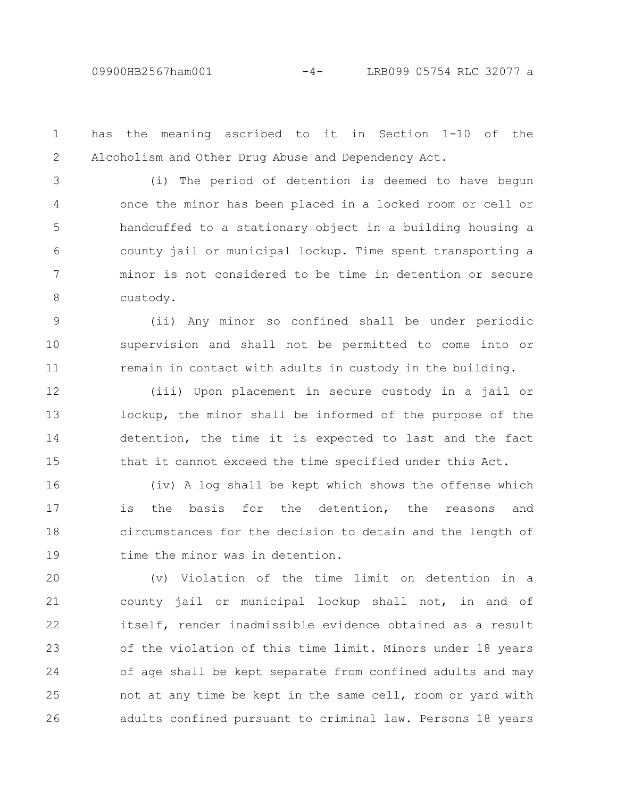has the meaning ascribed to it in Section 1-10 of the Alcoholism and Other Drug Abuse and Dependency Act. 1 2

(i) The period of detention is deemed to have begun once the minor has been placed in a locked room or cell or handcuffed to a stationary object in a building housing a county jail or municipal lockup. Time spent transporting a minor is not considered to be time in detention or secure custody. 3 4 5 6 7 8

(ii) Any minor so confined shall be under periodic supervision and shall not be permitted to come into or remain in contact with adults in custody in the building. 9 10 11

(iii) Upon placement in secure custody in a jail or lockup, the minor shall be informed of the purpose of the detention, the time it is expected to last and the fact that it cannot exceed the time specified under this Act. 12 13 14 15

(iv) A log shall be kept which shows the offense which is the basis for the detention, the reasons and circumstances for the decision to detain and the length of time the minor was in detention. 16 17 18 19

(v) Violation of the time limit on detention in a county jail or municipal lockup shall not, in and of itself, render inadmissible evidence obtained as a result of the violation of this time limit. Minors under 18 years of age shall be kept separate from confined adults and may not at any time be kept in the same cell, room or yard with adults confined pursuant to criminal law. Persons 18 years 20 21 22 23 24 25 26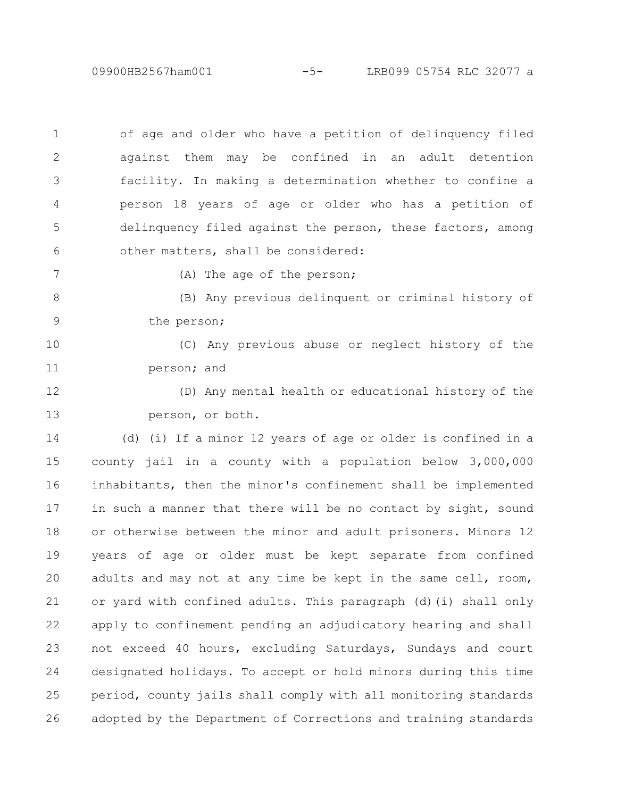09900HB2567ham001 -5- LRB099 05754 RLC 32077 a

of age and older who have a petition of delinquency filed against them may be confined in an adult detention facility. In making a determination whether to confine a person 18 years of age or older who has a petition of delinquency filed against the person, these factors, among other matters, shall be considered: 1 2 3 4 5 6

7

(A) The age of the person;

(B) Any previous delinquent or criminal history of the person; 8 9

(C) Any previous abuse or neglect history of the person; and 10 11

(D) Any mental health or educational history of the person, or both. 12 13

(d) (i) If a minor 12 years of age or older is confined in a county jail in a county with a population below 3,000,000 inhabitants, then the minor's confinement shall be implemented in such a manner that there will be no contact by sight, sound or otherwise between the minor and adult prisoners. Minors 12 years of age or older must be kept separate from confined adults and may not at any time be kept in the same cell, room, or yard with confined adults. This paragraph (d)(i) shall only apply to confinement pending an adjudicatory hearing and shall not exceed 40 hours, excluding Saturdays, Sundays and court designated holidays. To accept or hold minors during this time period, county jails shall comply with all monitoring standards adopted by the Department of Corrections and training standards 14 15 16 17 18 19 20 21 22 23 24 25 26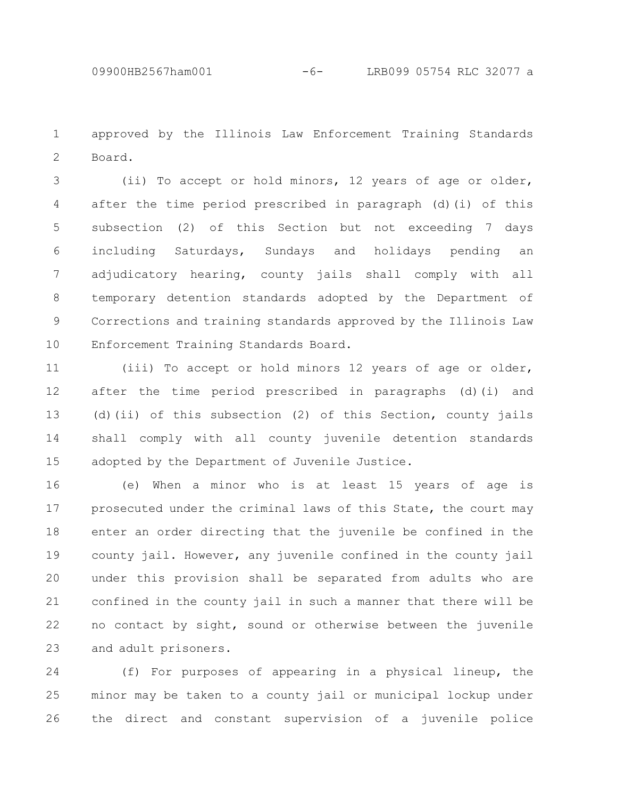approved by the Illinois Law Enforcement Training Standards Board. 1 2

(ii) To accept or hold minors, 12 years of age or older, after the time period prescribed in paragraph (d)(i) of this subsection (2) of this Section but not exceeding 7 days including Saturdays, Sundays and holidays pending an adjudicatory hearing, county jails shall comply with all temporary detention standards adopted by the Department of Corrections and training standards approved by the Illinois Law Enforcement Training Standards Board. 3 4 5 6 7 8 9 10

(iii) To accept or hold minors 12 years of age or older, after the time period prescribed in paragraphs (d)(i) and (d)(ii) of this subsection (2) of this Section, county jails shall comply with all county juvenile detention standards adopted by the Department of Juvenile Justice. 11 12 13 14 15

(e) When a minor who is at least 15 years of age is prosecuted under the criminal laws of this State, the court may enter an order directing that the juvenile be confined in the county jail. However, any juvenile confined in the county jail under this provision shall be separated from adults who are confined in the county jail in such a manner that there will be no contact by sight, sound or otherwise between the juvenile and adult prisoners. 16 17 18 19 20 21 22 23

(f) For purposes of appearing in a physical lineup, the minor may be taken to a county jail or municipal lockup under the direct and constant supervision of a juvenile police 24 25 26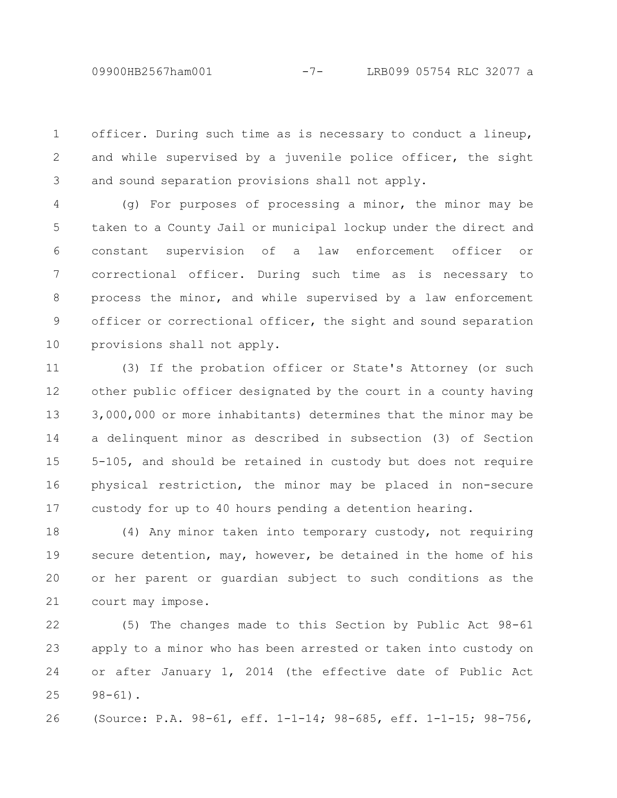officer. During such time as is necessary to conduct a lineup, and while supervised by a juvenile police officer, the sight and sound separation provisions shall not apply. 1 2 3

(g) For purposes of processing a minor, the minor may be taken to a County Jail or municipal lockup under the direct and constant supervision of a law enforcement officer or correctional officer. During such time as is necessary to process the minor, and while supervised by a law enforcement officer or correctional officer, the sight and sound separation provisions shall not apply. 4 5 6 7 8 9 10

(3) If the probation officer or State's Attorney (or such other public officer designated by the court in a county having 3,000,000 or more inhabitants) determines that the minor may be a delinquent minor as described in subsection (3) of Section 5-105, and should be retained in custody but does not require physical restriction, the minor may be placed in non-secure custody for up to 40 hours pending a detention hearing. 11 12 13 14 15 16 17

(4) Any minor taken into temporary custody, not requiring secure detention, may, however, be detained in the home of his or her parent or guardian subject to such conditions as the court may impose. 18 19 20 21

(5) The changes made to this Section by Public Act 98-61 apply to a minor who has been arrested or taken into custody on or after January 1, 2014 (the effective date of Public Act 98-61). 22 23 24 25

(Source: P.A. 98-61, eff. 1-1-14; 98-685, eff. 1-1-15; 98-756, 26